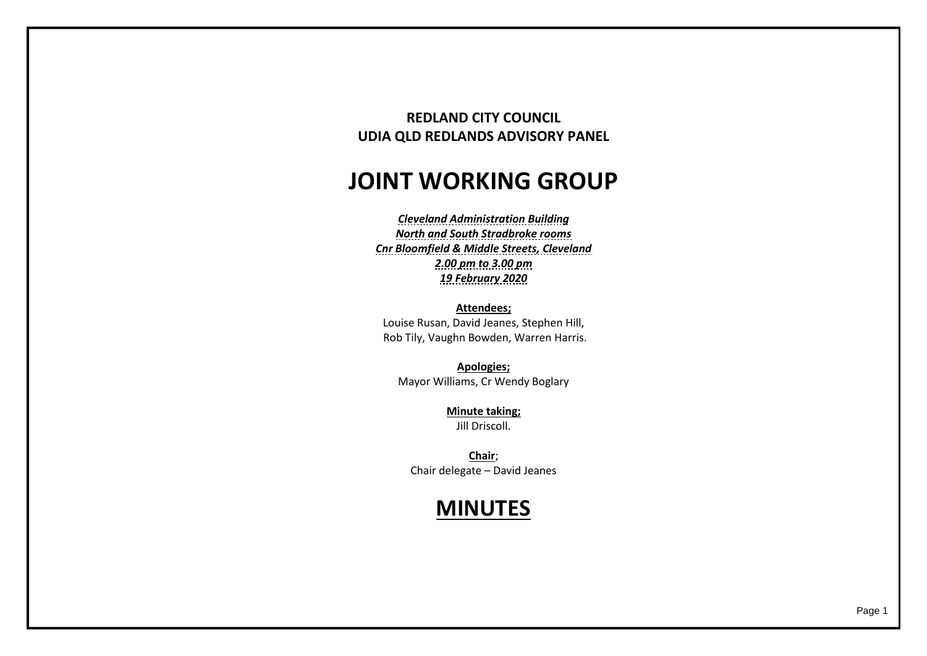## **REDLAND CITY COUNCIL UDIA QLD REDLANDS ADVISORY PANEL**

## **JOINT WORKING GROUP**

*Cleveland Administration Building North and South Stradbroke rooms Cnr Bloomfield & Middle Streets, Cleveland 2.00 pm to 3.00 pm 19 February 2020*

**Attendees;** Louise Rusan, David Jeanes, Stephen Hill, Rob Tily, Vaughn Bowden, Warren Harris.

**Apologies;** Mayor Williams, Cr Wendy Boglary

> **Minute taking;** Jill Driscoll.

**Chair**; Chair delegate – David Jeanes

## **MINUTES**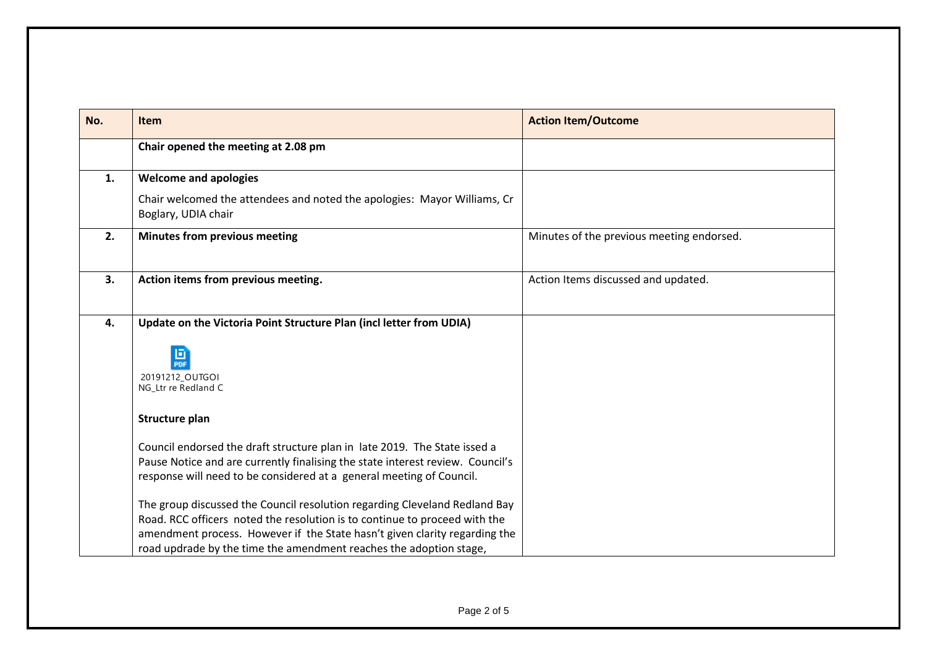| No. | Item                                                                                                                                                                                                                                                                                                         | <b>Action Item/Outcome</b>                |
|-----|--------------------------------------------------------------------------------------------------------------------------------------------------------------------------------------------------------------------------------------------------------------------------------------------------------------|-------------------------------------------|
|     | Chair opened the meeting at 2.08 pm                                                                                                                                                                                                                                                                          |                                           |
| 1.  | <b>Welcome and apologies</b>                                                                                                                                                                                                                                                                                 |                                           |
|     | Chair welcomed the attendees and noted the apologies: Mayor Williams, Cr<br>Boglary, UDIA chair                                                                                                                                                                                                              |                                           |
| 2.  | Minutes from previous meeting                                                                                                                                                                                                                                                                                | Minutes of the previous meeting endorsed. |
| 3.  | Action items from previous meeting.                                                                                                                                                                                                                                                                          | Action Items discussed and updated.       |
| 4.  | Update on the Victoria Point Structure Plan (incl letter from UDIA)<br>回<br>PDF<br>20191212_OUTGOI<br>NG_Ltr re Redland C                                                                                                                                                                                    |                                           |
|     | Structure plan                                                                                                                                                                                                                                                                                               |                                           |
|     | Council endorsed the draft structure plan in late 2019. The State issed a<br>Pause Notice and are currently finalising the state interest review. Council's<br>response will need to be considered at a general meeting of Council.                                                                          |                                           |
|     | The group discussed the Council resolution regarding Cleveland Redland Bay<br>Road. RCC officers noted the resolution is to continue to proceed with the<br>amendment process. However if the State hasn't given clarity regarding the<br>road updrade by the time the amendment reaches the adoption stage, |                                           |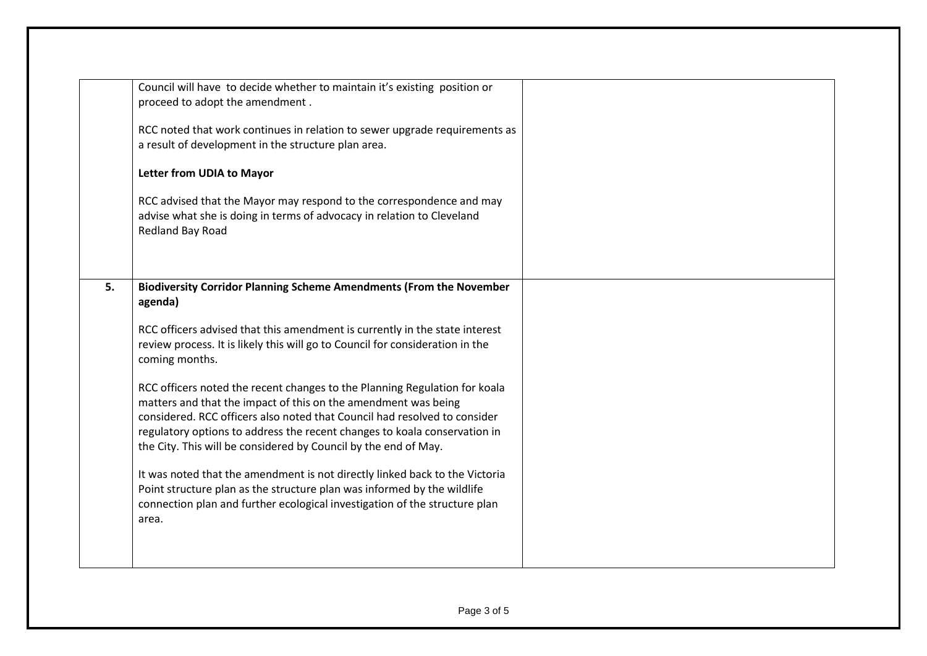|    | Council will have to decide whether to maintain it's existing position or     |  |
|----|-------------------------------------------------------------------------------|--|
|    | proceed to adopt the amendment.                                               |  |
|    |                                                                               |  |
|    | RCC noted that work continues in relation to sewer upgrade requirements as    |  |
|    | a result of development in the structure plan area.                           |  |
|    | Letter from UDIA to Mayor                                                     |  |
|    |                                                                               |  |
|    | RCC advised that the Mayor may respond to the correspondence and may          |  |
|    | advise what she is doing in terms of advocacy in relation to Cleveland        |  |
|    | Redland Bay Road                                                              |  |
|    |                                                                               |  |
|    |                                                                               |  |
| 5. | <b>Biodiversity Corridor Planning Scheme Amendments (From the November</b>    |  |
|    | agenda)                                                                       |  |
|    |                                                                               |  |
|    | RCC officers advised that this amendment is currently in the state interest   |  |
|    | review process. It is likely this will go to Council for consideration in the |  |
|    | coming months.                                                                |  |
|    |                                                                               |  |
|    | RCC officers noted the recent changes to the Planning Regulation for koala    |  |
|    | matters and that the impact of this on the amendment was being                |  |
|    | considered. RCC officers also noted that Council had resolved to consider     |  |
|    | regulatory options to address the recent changes to koala conservation in     |  |
|    | the City. This will be considered by Council by the end of May.               |  |
|    | It was noted that the amendment is not directly linked back to the Victoria   |  |
|    | Point structure plan as the structure plan was informed by the wildlife       |  |
|    | connection plan and further ecological investigation of the structure plan    |  |
|    | area.                                                                         |  |
|    |                                                                               |  |
|    |                                                                               |  |
|    |                                                                               |  |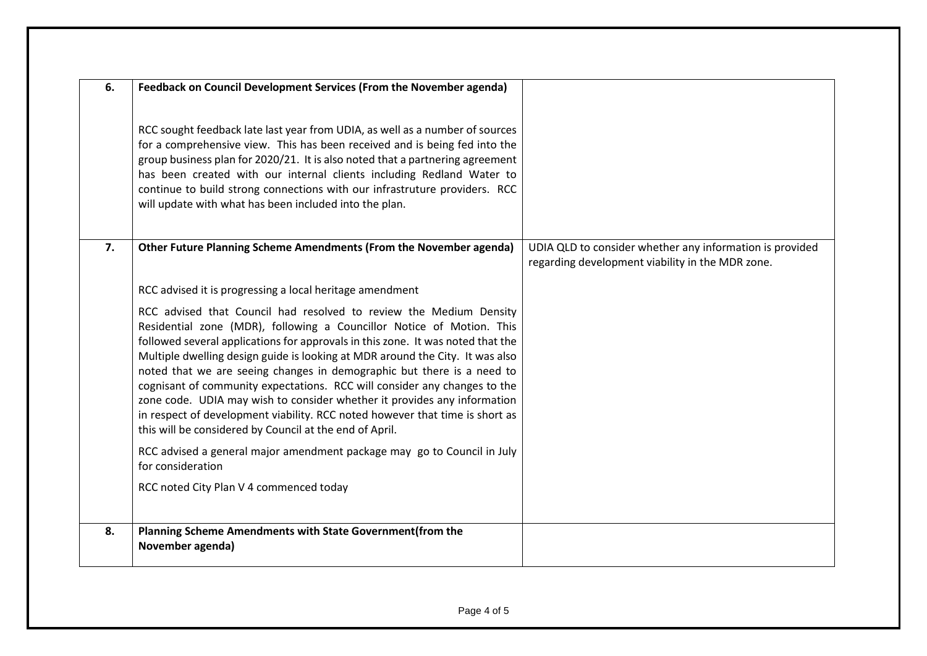| 6. | Feedback on Council Development Services (From the November agenda)                                                                                                                                                                                                                                                                                                                                                                                                                                                                                                                                                                                                                           |                                                                                                              |
|----|-----------------------------------------------------------------------------------------------------------------------------------------------------------------------------------------------------------------------------------------------------------------------------------------------------------------------------------------------------------------------------------------------------------------------------------------------------------------------------------------------------------------------------------------------------------------------------------------------------------------------------------------------------------------------------------------------|--------------------------------------------------------------------------------------------------------------|
|    | RCC sought feedback late last year from UDIA, as well as a number of sources<br>for a comprehensive view. This has been received and is being fed into the<br>group business plan for 2020/21. It is also noted that a partnering agreement<br>has been created with our internal clients including Redland Water to<br>continue to build strong connections with our infrastruture providers. RCC<br>will update with what has been included into the plan.                                                                                                                                                                                                                                  |                                                                                                              |
| 7. | Other Future Planning Scheme Amendments (From the November agenda)                                                                                                                                                                                                                                                                                                                                                                                                                                                                                                                                                                                                                            | UDIA QLD to consider whether any information is provided<br>regarding development viability in the MDR zone. |
|    | RCC advised it is progressing a local heritage amendment                                                                                                                                                                                                                                                                                                                                                                                                                                                                                                                                                                                                                                      |                                                                                                              |
|    | RCC advised that Council had resolved to review the Medium Density<br>Residential zone (MDR), following a Councillor Notice of Motion. This<br>followed several applications for approvals in this zone. It was noted that the<br>Multiple dwelling design guide is looking at MDR around the City. It was also<br>noted that we are seeing changes in demographic but there is a need to<br>cognisant of community expectations. RCC will consider any changes to the<br>zone code. UDIA may wish to consider whether it provides any information<br>in respect of development viability. RCC noted however that time is short as<br>this will be considered by Council at the end of April. |                                                                                                              |
|    | RCC advised a general major amendment package may go to Council in July<br>for consideration                                                                                                                                                                                                                                                                                                                                                                                                                                                                                                                                                                                                  |                                                                                                              |
|    | RCC noted City Plan V 4 commenced today                                                                                                                                                                                                                                                                                                                                                                                                                                                                                                                                                                                                                                                       |                                                                                                              |
| 8. | Planning Scheme Amendments with State Government(from the<br>November agenda)                                                                                                                                                                                                                                                                                                                                                                                                                                                                                                                                                                                                                 |                                                                                                              |